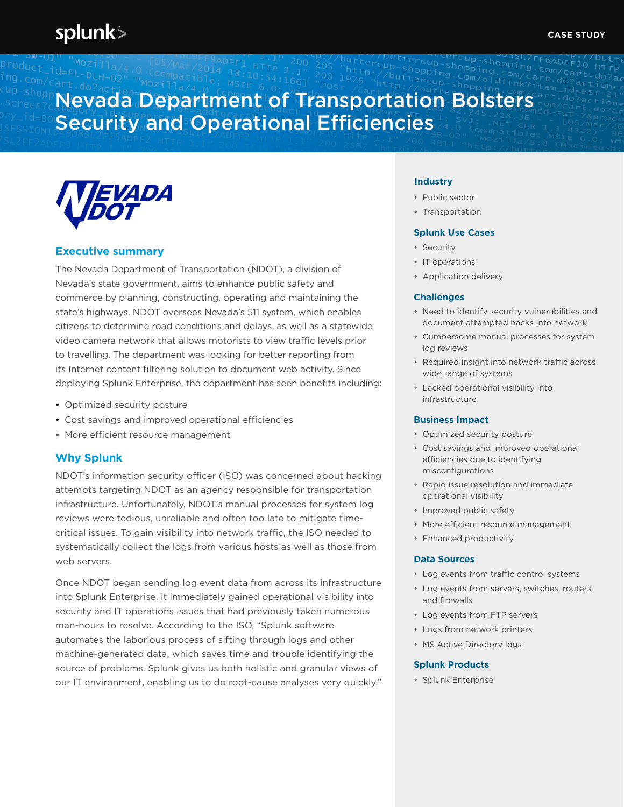# Nevada Department of Transportation Bolsters Security and Operational Efficiencies



## **Executive summary**

The Nevada Department of Transportation (NDOT), a division of Nevada's state government, aims to enhance public safety and commerce by planning, constructing, operating and maintaining the state's highways. NDOT oversees Nevada's 511 system, which enables citizens to determine road conditions and delays, as well as a statewide video camera network that allows motorists to view traffic levels prior to travelling. The department was looking for better reporting from its Internet content filtering solution to document web activity. Since deploying Splunk Enterprise, the department has seen benefits including:

- Optimized security posture
- Cost savings and improved operational efficiencies
- More efficient resource management

## **Why Splunk**

NDOT's information security officer (ISO) was concerned about hacking attempts targeting NDOT as an agency responsible for transportation infrastructure. Unfortunately, NDOT's manual processes for system log reviews were tedious, unreliable and often too late to mitigate timecritical issues. To gain visibility into network traffic, the ISO needed to systematically collect the logs from various hosts as well as those from web servers.

Once NDOT began sending log event data from across its infrastructure into Splunk Enterprise, it immediately gained operational visibility into security and IT operations issues that had previously taken numerous man-hours to resolve. According to the ISO, "Splunk software automates the laborious process of sifting through logs and other machine-generated data, which saves time and trouble identifying the source of problems. Splunk gives us both holistic and granular views of our IT environment, enabling us to do root-cause analyses very quickly."

## **Industry**

- Public sector
- Transportation

### **Splunk Use Cases**

- Security
- IT operations
- Application delivery

#### **Challenges**

- Need to identify security vulnerabilities and document attempted hacks into network
- Cumbersome manual processes for system log reviews
- Required insight into network traffic across wide range of systems
- Lacked operational visibility into infrastructure

#### **Business Impact**

- Optimized security posture
- Cost savings and improved operational efficiencies due to identifying misconfigurations
- Rapid issue resolution and immediate operational visibility
- Improved public safety
- More efficient resource management
- Enhanced productivity

#### **Data Sources**

- Log events from traffic control systems
- Log events from servers, switches, routers and firewalls
- Log events from FTP servers
- Logs from network printers
- MS Active Directory logs

#### **Splunk Products**

• Splunk Enterprise